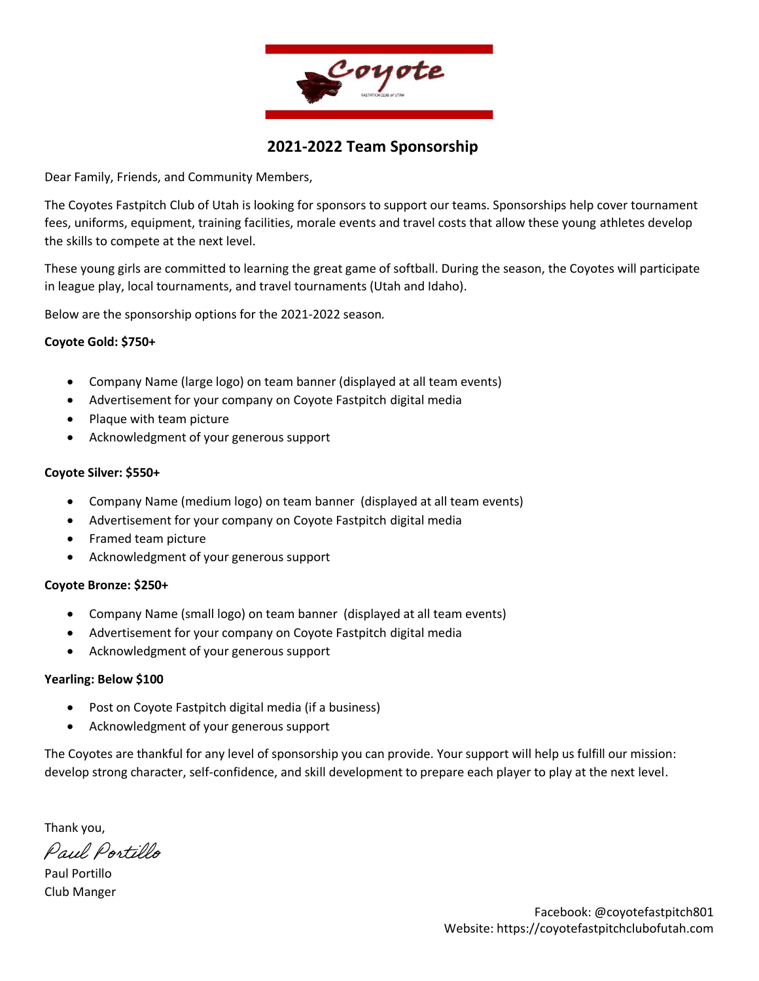

### **2021-2022 Team Sponsorship**

Dear Family, Friends, and Community Members,

The Coyotes Fastpitch Club of Utah is looking for sponsors to support our teams. Sponsorships help cover tournament fees, uniforms, equipment, training facilities, morale events and travel costs that allow these young athletes develop the skills to compete at the next level.

These young girls are committed to learning the great game of softball. During the season, the Coyotes will participate in league play, local tournaments, and travel tournaments (Utah and Idaho).

Below are the sponsorship options for the 2021-2022 season*.*

#### **Coyote Gold: \$750+**

- Company Name (large logo) on team banner (displayed at all team events)
- Advertisement for your company on Coyote Fastpitch digital media
- Plaque with team picture
- Acknowledgment of your generous support

#### **Coyote Silver: \$550+**

- Company Name (medium logo) on team banner (displayed at all team events)
- Advertisement for your company on Coyote Fastpitch digital media
- Framed team picture
- Acknowledgment of your generous support

#### **Coyote Bronze: \$250+**

- Company Name (small logo) on team banner (displayed at all team events)
- Advertisement for your company on Coyote Fastpitch digital media
- Acknowledgment of your generous support

#### **Yearling: Below \$100**

- Post on Coyote Fastpitch digital media (if a business)
- Acknowledgment of your generous support

The Coyotes are thankful for any level of sponsorship you can provide. Your support will help us fulfill our mission: develop strong character, self-confidence, and skill development to prepare each player to play at the next level.

Thank you,

Paul Portillo

Paul Portillo Club Manger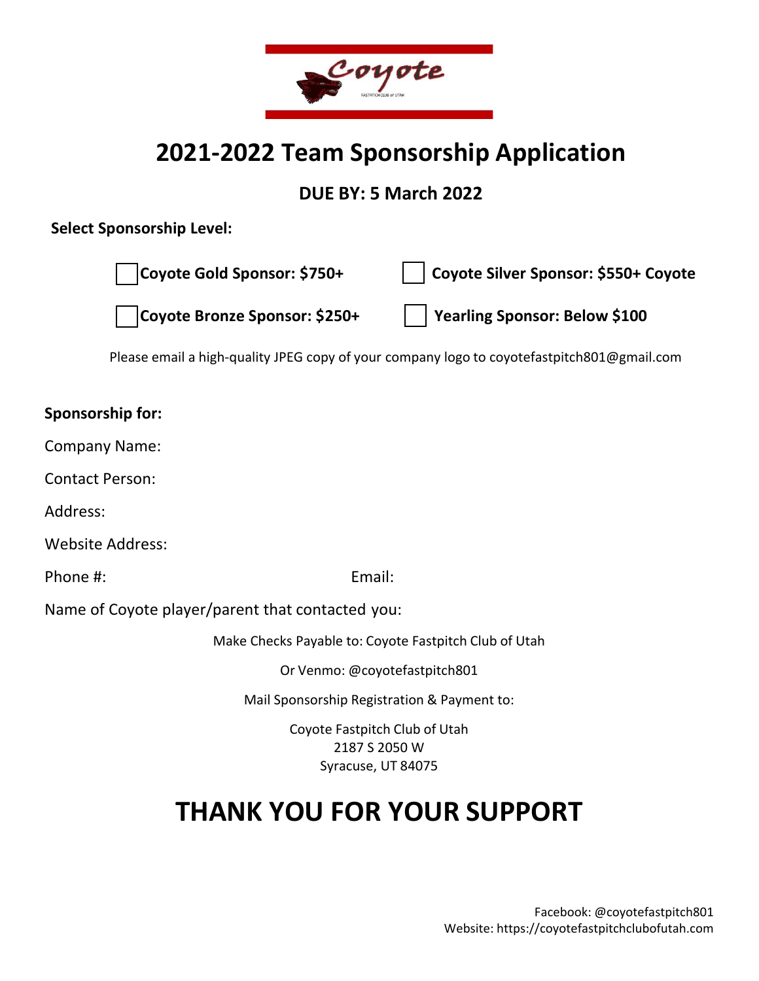

## **2021-2022 Team Sponsorship Application**

**DUE BY: 5 March 2022** 

### **Select Sponsorship Level:**

**Coyote Gold Sponsor: \$750+**

**Coyote Silver Sponsor: \$550+ Coyote** 

**Coyote Bronze Sponsor: \$250+**

**Yearling Sponsor: Below \$100**

Please email a high-quality JPEG copy of your company logo to coyotefastpitch801@gmail.com

### **Sponsorship for:**

Company Name:

Contact Person:

Address:

Website Address:

Phone #: Email: Email: Email: Email: Email: Email: Email: Email: Email: Email: Email: Email: Email: Email: Email: Email: Email: Email: Email: Email: Email: Email: Email: Email: Email: Email: Email: Email: Email: Email: Ema

Name of Coyote player/parent that contacted you:

Make Checks Payable to: Coyote Fastpitch Club of Utah

Or Venmo: @coyotefastpitch801

Mail Sponsorship Registration & Payment to:

Coyote Fastpitch Club of Utah 2187 S 2050 W Syracuse, UT 84075

# **THANK YOU FOR YOUR SUPPORT**